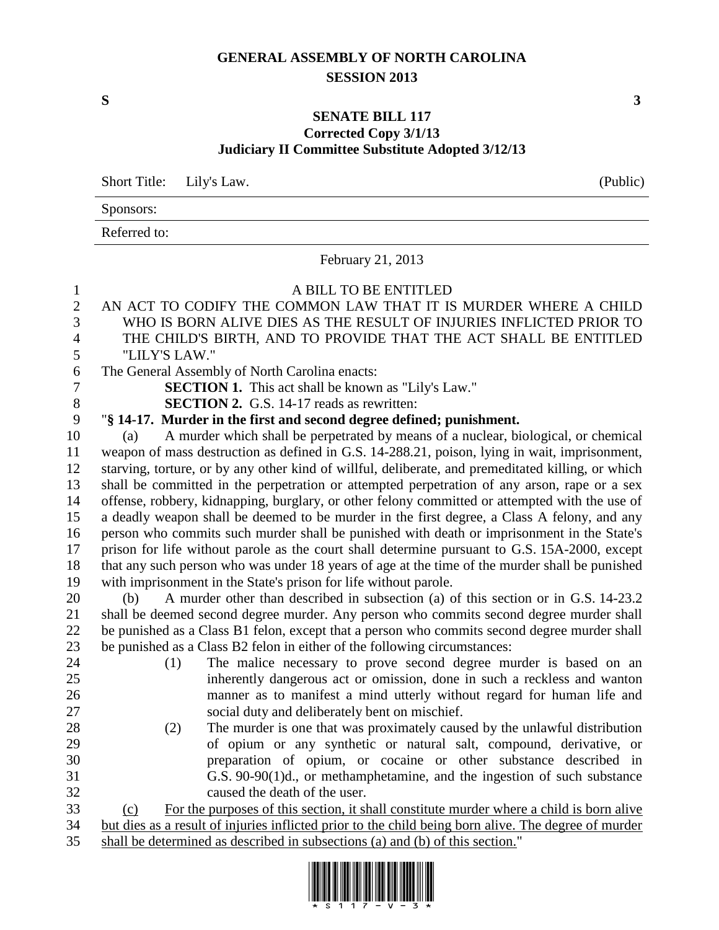## **GENERAL ASSEMBLY OF NORTH CAROLINA SESSION 2013**

**S 3**

## **SENATE BILL 117 Corrected Copy 3/1/13 Judiciary II Committee Substitute Adopted 3/12/13**

Short Title: Lily's Law. (Public)

Sponsors:

Referred to:

February 21, 2013 A BILL TO BE ENTITLED AN ACT TO CODIFY THE COMMON LAW THAT IT IS MURDER WHERE A CHILD WHO IS BORN ALIVE DIES AS THE RESULT OF INJURIES INFLICTED PRIOR TO THE CHILD'S BIRTH, AND TO PROVIDE THAT THE ACT SHALL BE ENTITLED "LILY'S LAW." The General Assembly of North Carolina enacts: **SECTION 1.** This act shall be known as "Lily's Law." **SECTION 2.** G.S. 14-17 reads as rewritten: "**§ 14-17. Murder in the first and second degree defined; punishment.** (a) A murder which shall be perpetrated by means of a nuclear, biological, or chemical weapon of mass destruction as defined in G.S. 14-288.21, poison, lying in wait, imprisonment, starving, torture, or by any other kind of willful, deliberate, and premeditated killing, or which shall be committed in the perpetration or attempted perpetration of any arson, rape or a sex offense, robbery, kidnapping, burglary, or other felony committed or attempted with the use of a deadly weapon shall be deemed to be murder in the first degree, a Class A felony, and any person who commits such murder shall be punished with death or imprisonment in the State's prison for life without parole as the court shall determine pursuant to G.S. 15A-2000, except that any such person who was under 18 years of age at the time of the murder shall be punished with imprisonment in the State's prison for life without parole. (b) A murder other than described in subsection (a) of this section or in G.S. 14-23.2 shall be deemed second degree murder. Any person who commits second degree murder shall be punished as a Class B1 felon, except that a person who commits second degree murder shall be punished as a Class B2 felon in either of the following circumstances: (1) The malice necessary to prove second degree murder is based on an inherently dangerous act or omission, done in such a reckless and wanton manner as to manifest a mind utterly without regard for human life and social duty and deliberately bent on mischief. (2) The murder is one that was proximately caused by the unlawful distribution of opium or any synthetic or natural salt, compound, derivative, or preparation of opium, or cocaine or other substance described in G.S. 90-90(1)d., or methamphetamine, and the ingestion of such substance caused the death of the user. (c) For the purposes of this section, it shall constitute murder where a child is born alive but dies as a result of injuries inflicted prior to the child being born alive. The degree of murder shall be determined as described in subsections (a) and (b) of this section."